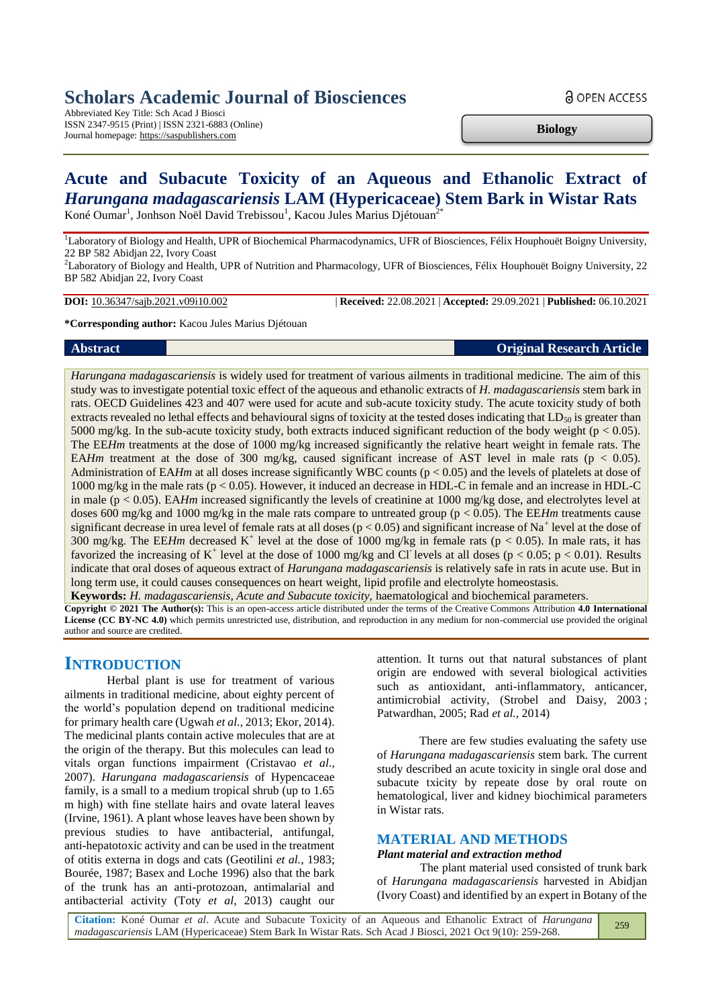# **Scholars Academic Journal of Biosciences**

Abbreviated Key Title: Sch Acad J Biosci ISSN 2347-9515 (Print) | ISSN 2321-6883 (Online) Journal homepage: https://saspublishers.com

**Biology**

**a** OPEN ACCESS

# **Acute and Subacute Toxicity of an Aqueous and Ethanolic Extract of**  *Harungana madagascariensis* **LAM (Hypericaceae) Stem Bark in Wistar Rats** Koné Oumar<sup>1</sup>, Jonhson Noël David Trebissou<sup>1</sup>, Kacou Jules Marius Djétouan<sup>2\*</sup>

<sup>1</sup>Laboratory of Biology and Health, UPR of Biochemical Pharmacodynamics, UFR of Biosciences, Félix Houphouët Boigny University, 22 BP 582 Abidjan 22, Ivory Coast

<sup>2</sup>Laboratory of Biology and Health, UPR of Nutrition and Pharmacology, UFR of Biosciences, Félix Houphouët Boigny University, 22 BP 582 Abidjan 22, Ivory Coast

**DOI:** 10.36347/sajb.2021.v09i10.002 | **Received:** 22.08.2021 | **Accepted:** 29.09.2021 | **Published:** 06.10.2021

**\*Corresponding author:** Kacou Jules Marius Djétouan

### **Abstract Original Research Article**

*Harungana madagascariensis* is widely used for treatment of various ailments in traditional medicine. The aim of this study was to investigate potential toxic effect of the aqueous and ethanolic extracts of *H. madagascariensis* stem bark in rats. OECD Guidelines 423 and 407 were used for acute and sub-acute toxicity study*.* The acute toxicity study of both extracts revealed no lethal effects and behavioural signs of toxicity at the tested doses indicating that  $LD_{50}$  is greater than 5000 mg/kg. In the sub-acute toxicity study, both extracts induced significant reduction of the body weight ( $p < 0.05$ ). The EE*Hm* treatments at the dose of 1000 mg/kg increased significantly the relative heart weight in female rats. The EA*Hm* treatment at the dose of 300 mg/kg, caused significant increase of AST level in male rats ( $p < 0.05$ ). Administration of EA*Hm* at all doses increase significantly WBC counts (p < 0.05) and the levels of platelets at dose of 1000 mg/kg in the male rats (p < 0.05). However, it induced an decrease in HDL-C in female and an increase in HDL-C in male (p < 0.05). EA*Hm* increased significantly the levels of creatinine at 1000 mg/kg dose, and electrolytes level at doses 600 mg/kg and 1000 mg/kg in the male rats compare to untreated group (p < 0.05). The EE*Hm* treatments cause significant decrease in urea level of female rats at all doses ( $p < 0.05$ ) and significant increase of Na<sup>+</sup> level at the dose of 300 mg/kg. The EE*Hm* decreased K<sup>+</sup> level at the dose of 1000 mg/kg in female rats ( $p < 0.05$ ). In male rats, it has favorized the increasing of K<sup>+</sup> level at the dose of 1000 mg/kg and Cl<sup>-</sup>levels at all doses ( $p < 0.05$ ;  $p < 0.01$ ). Results indicate that oral doses of aqueous extract of *Harungana madagascariensis* is relatively safe in rats in acute use. But in long term use, it could causes consequences on heart weight, lipid profile and electrolyte homeostasis.

**Keywords:** *H. madagascariensis, Acute and Subacute toxicity,* haematological and biochemical parameters.

**Copyright © 2021 The Author(s):** This is an open-access article distributed under the terms of the Creative Commons Attribution **4.0 International License (CC BY-NC 4.0)** which permits unrestricted use, distribution, and reproduction in any medium for non-commercial use provided the original author and source are credited.

# **INTRODUCTION**

Herbal plant is use for treatment of various ailments in traditional medicine, about eighty percent of the world's population depend on traditional medicine for primary health care (Ugwah *et al.*, 2013; Ekor, 2014). The medicinal plants contain active molecules that are at the origin of the therapy. But this molecules can lead to vitals organ functions impairment (Cristavao *et al*., 2007). *Harungana madagascariensis* of Hypencaceae family, is a small to a medium tropical shrub (up to 1.65 m high) with fine stellate hairs and ovate lateral leaves (Irvine, 1961). A plant whose leaves have been shown by previous studies to have antibacterial, antifungal, anti-hepatotoxic activity and can be used in the treatment of otitis externa in dogs and cats (Geotilini *et al.*, 1983; Bourée, 1987; Basex and Loche 1996) also that the bark of the trunk has an anti-protozoan, antimalarial and antibacterial activity (Toty *et al,* 2013) caught our

attention. It turns out that natural substances of plant origin are endowed with several biological activities such as antioxidant, anti-inflammatory, anticancer, antimicrobial activity, (Strobel and Daisy, 2003 ; Patwardhan, 2005; Rad *et al.*, 2014)

There are few studies evaluating the safety use of *Harungana madagascariensis* stem bark*.* The current study described an acute toxicity in single oral dose and subacute txicity by repeate dose by oral route on hematological, liver and kidney biochimical parameters in Wistar rats.

# **MATERIAL AND METHODS**

*Plant material and extraction method*

The plant material used consisted of trunk bark of *Harungana madagascariensis* harvested in Abidjan (Ivory Coast) and identified by an expert in Botany of the

**Citation:** Koné Oumar *et al*. Acute and Subacute Toxicity of an Aqueous and Ethanolic Extract of *Harungana madagascariensis* LAM (Hypericaceae) Stem Bark In Wistar Rats. Sch Acad J Biosci, 2021 Oct 9(10): 259-268. 259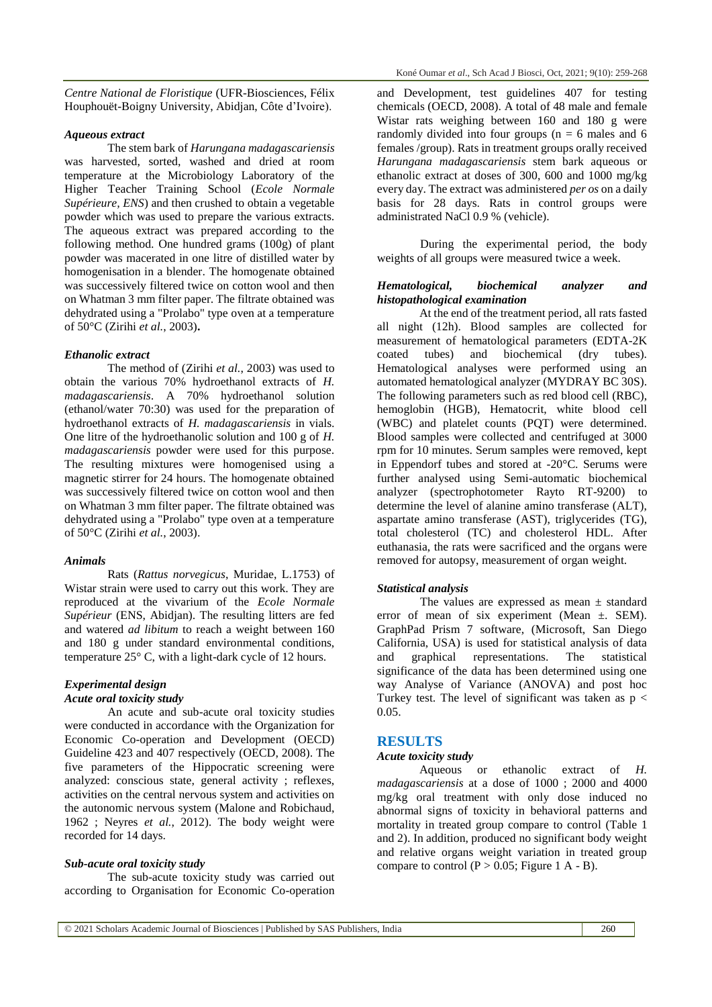*Centre National de Floristique* (UFR-Biosciences, Félix Houphouët-Boigny University, Abidjan, Côte d'Ivoire).

#### *Aqueous extract*

The stem bark of *Harungana madagascariensis*  was harvested, sorted, washed and dried at room temperature at the Microbiology Laboratory of the Higher Teacher Training School (*Ecole Normale Supérieure, ENS*) and then crushed to obtain a vegetable powder which was used to prepare the various extracts. The aqueous extract was prepared according to the following method. One hundred grams (100g) of plant powder was macerated in one litre of distilled water by homogenisation in a blender. The homogenate obtained was successively filtered twice on cotton wool and then on Whatman 3 mm filter paper. The filtrate obtained was dehydrated using a "Prolabo" type oven at a temperature of 50°C (Zirihi *et al.*, 2003)**.**

#### *Ethanolic extract*

The method of (Zirihi *et al.*, 2003) was used to obtain the various 70% hydroethanol extracts of *H. madagascariensis*. A 70% hydroethanol solution (ethanol/water 70:30) was used for the preparation of hydroethanol extracts of *H. madagascariensis* in vials. One litre of the hydroethanolic solution and 100 g of *H. madagascariensis* powder were used for this purpose. The resulting mixtures were homogenised using a magnetic stirrer for 24 hours. The homogenate obtained was successively filtered twice on cotton wool and then on Whatman 3 mm filter paper. The filtrate obtained was dehydrated using a "Prolabo" type oven at a temperature of 50°C (Zirihi *et al.*, 2003).

#### *Animals*

Rats (*Rattus norvegicus*, Muridae, L.1753) of Wistar strain were used to carry out this work. They are reproduced at the vivarium of the *Ecole Normale Supérieur* (ENS, Abidjan). The resulting litters are fed and watered *ad libitum* to reach a weight between 160 and 180 g under standard environmental conditions, temperature 25° C, with a light-dark cycle of 12 hours.

#### *Experimental design*

# *Acute oral toxicity study*

An acute and sub-acute oral toxicity studies were conducted in accordance with the Organization for Economic Co-operation and Development (OECD) Guideline 423 and 407 respectively (OECD, 2008). The five parameters of the Hippocratic screening were analyzed: conscious state, general activity ; reflexes, activities on the central nervous system and activities on the autonomic nervous system (Malone and Robichaud, 1962 ; Neyres *et al.*, 2012). The body weight were recorded for 14 days.

#### *Sub-acute oral toxicity study*

The sub-acute toxicity study was carried out according to Organisation for Economic Co-operation and Development, test guidelines 407 for testing chemicals (OECD, 2008). A total of 48 male and female Wistar rats weighing between 160 and 180 g were randomly divided into four groups ( $n = 6$  males and 6 females /group). Rats in treatment groups orally received *Harungana madagascariensis* stem bark aqueous or ethanolic extract at doses of 300, 600 and 1000 mg/kg every day. The extract was administered *per os* on a daily basis for 28 days. Rats in control groups were administrated NaCl 0.9 % (vehicle).

During the experimental period, the body weights of all groups were measured twice a week.

#### *Hematological, biochemical analyzer and histopathological examination*

At the end of the treatment period, all rats fasted all night (12h). Blood samples are collected for measurement of hematological parameters (EDTA-2K coated tubes) and biochemical (dry tubes). Hematological analyses were performed using an automated hematological analyzer (MYDRAY BC 30S). The following parameters such as red blood cell (RBC), hemoglobin (HGB), Hematocrit, white blood cell (WBC) and platelet counts (PQT) were determined. Blood samples were collected and centrifuged at 3000 rpm for 10 minutes. Serum samples were removed, kept in Eppendorf tubes and stored at -20°C. Serums were further analysed using Semi-automatic biochemical analyzer (spectrophotometer Rayto RT-9200) to determine the level of alanine amino transferase (ALT), aspartate amino transferase (AST), triglycerides (TG), total cholesterol (TC) and cholesterol HDL. After euthanasia, the rats were sacrificed and the organs were removed for autopsy, measurement of organ weight.

#### *Statistical analysis*

The values are expressed as mean  $\pm$  standard error of mean of six experiment (Mean  $\pm$ . SEM). GraphPad Prism 7 software, (Microsoft, San Diego California, USA) is used for statistical analysis of data and graphical representations. The statistical significance of the data has been determined using one way Analyse of Variance (ANOVA) and post hoc Turkey test. The level of significant was taken as  $p <$ 0.05.

### **RESULTS**

## *Acute toxicity study*

Aqueous or ethanolic extract of *H. madagascariensis* at a dose of 1000 ; 2000 and 4000 mg/kg oral treatment with only dose induced no abnormal signs of toxicity in behavioral patterns and mortality in treated group compare to control (Table 1 and 2). In addition, produced no significant body weight and relative organs weight variation in treated group compare to control  $(P > 0.05$ ; Figure 1 A - B).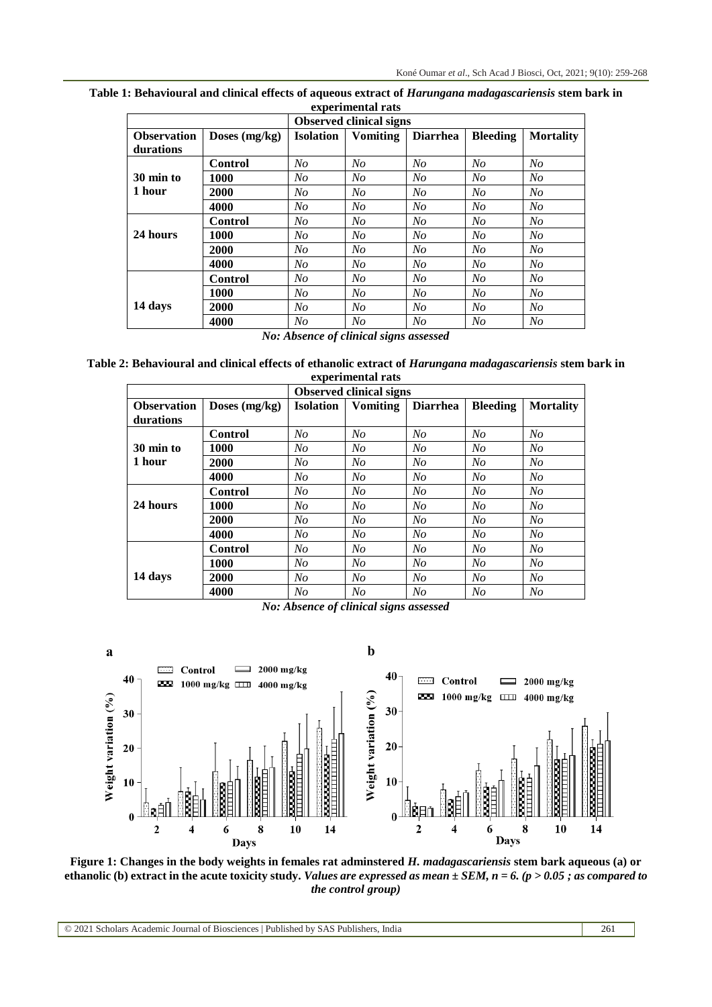| <b>Observed clinical signs</b>  |                 |                  |                 |                 |                 |                  |  |
|---------------------------------|-----------------|------------------|-----------------|-----------------|-----------------|------------------|--|
| <b>Observation</b><br>durations | Doses $(mg/kg)$ | <b>Isolation</b> | <b>Vomiting</b> | <b>Diarrhea</b> | <b>Bleeding</b> | <b>Mortality</b> |  |
|                                 | <b>Control</b>  | N <sub>O</sub>   | N <sub>O</sub>  | N <sub>O</sub>  | N <sub>O</sub>  | N <sub>O</sub>   |  |
| 30 min to                       | 1000            | N <sub>O</sub>   | $N_{O}$         | N <sub>O</sub>  | N <sub>O</sub>  | N <sub>O</sub>   |  |
| 1 hour                          | 2000            | N <sub>O</sub>   | No              | N <sub>O</sub>  | N <sub>O</sub>  | N <sub>O</sub>   |  |
|                                 | 4000            | N <sub>O</sub>   | N <sub>O</sub>  | N <sub>O</sub>  | N <sub>O</sub>  | N <sub>O</sub>   |  |
|                                 | <b>Control</b>  | No               | No              | N <sub>O</sub>  | N <sub>O</sub>  | N <sub>O</sub>   |  |
| 24 hours                        | 1000            | N <sub>O</sub>   | No              | No              | No              | N <sub>O</sub>   |  |
|                                 | 2000            | N <sub>O</sub>   | No              | N <sub>O</sub>  | N <sub>O</sub>  | N <sub>O</sub>   |  |
|                                 | 4000            | N <sub>O</sub>   | N <sub>O</sub>  | N <sub>O</sub>  | N <sub>O</sub>  | N <sub>O</sub>   |  |
|                                 | <b>Control</b>  | N <sub>O</sub>   | $N_{O}$         | N <sub>O</sub>  | N <sub>O</sub>  | N <sub>O</sub>   |  |
|                                 | 1000            | N <sub>O</sub>   | No              | N <sub>O</sub>  | N <sub>O</sub>  | N <sub>O</sub>   |  |
| 14 days                         | 2000            | N <sub>O</sub>   | No              | N <sub>O</sub>  | N <sub>O</sub>  | N <sub>O</sub>   |  |
|                                 | 4000            | N <sub>O</sub>   | N <sub>O</sub>  | N <sub>O</sub>  | N <sub>O</sub>  | N <sub>O</sub>   |  |

**Table 1: Behavioural and clinical effects of aqueous extract of** *Harungana madagascariensis* **stem bark in experimental rats**

*No: Absence of clinical signs assessed*

**Table 2: Behavioural and clinical effects of ethanolic extract of** *Harungana madagascariensis* **stem bark in experimental rats**

|                    |                 | <b>Observed clinical signs</b> |                 |                 |                 |                  |
|--------------------|-----------------|--------------------------------|-----------------|-----------------|-----------------|------------------|
| <b>Observation</b> | Doses $(mg/kg)$ | <b>Isolation</b>               | <b>Vomiting</b> | <b>Diarrhea</b> | <b>Bleeding</b> | <b>Mortality</b> |
| durations          |                 |                                |                 |                 |                 |                  |
|                    | Control         | No                             | No              | No              | $N_{O}$         | No               |
| 30 min to          | 1000            | No                             | No              | No              | No              | No               |
| 1 hour             | 2000            | No                             | No              | No              | No              | No               |
|                    | 4000            | N <sub>O</sub>                 | $N_{O}$         | N <sub>O</sub>  | $N_{O}$         | N <sub>O</sub>   |
|                    | Control         | N <sub>O</sub>                 | No              | N <sub>O</sub>  | $N_{O}$         | No               |
| 24 hours           | 1000            | No                             | No              | No              | No              | No               |
|                    | 2000            | N <sub>O</sub>                 | $N_{O}$         | N <sub>O</sub>  | $N_{O}$         | N <sub>O</sub>   |
|                    | 4000            | N <sub>O</sub>                 | No              | N <sub>O</sub>  | $N_{O}$         | N <sub>O</sub>   |
|                    | Control         | No                             | No              | No              | N <sub>O</sub>  | No               |
|                    | 1000            | N <sub>O</sub>                 | $N_{O}$         | No              | $N_{O}$         | N <sub>O</sub>   |
| 14 days            | 2000            | N <sub>O</sub>                 | No              | N <sub>O</sub>  | $N_{O}$         | N <sub>O</sub>   |
|                    | 4000            | No                             | No              | No              | No              | No               |

*No: Absence of clinical signs assessed*



**Figure 1: Changes in the body weights in females rat adminstered** *H. madagascariensis* **stem bark aqueous (a) or ethanolic (b) extract in the acute toxicity study.** *Values are expressed as mean ± SEM, n = 6. (p > 0.05 ; as compared to the control group)*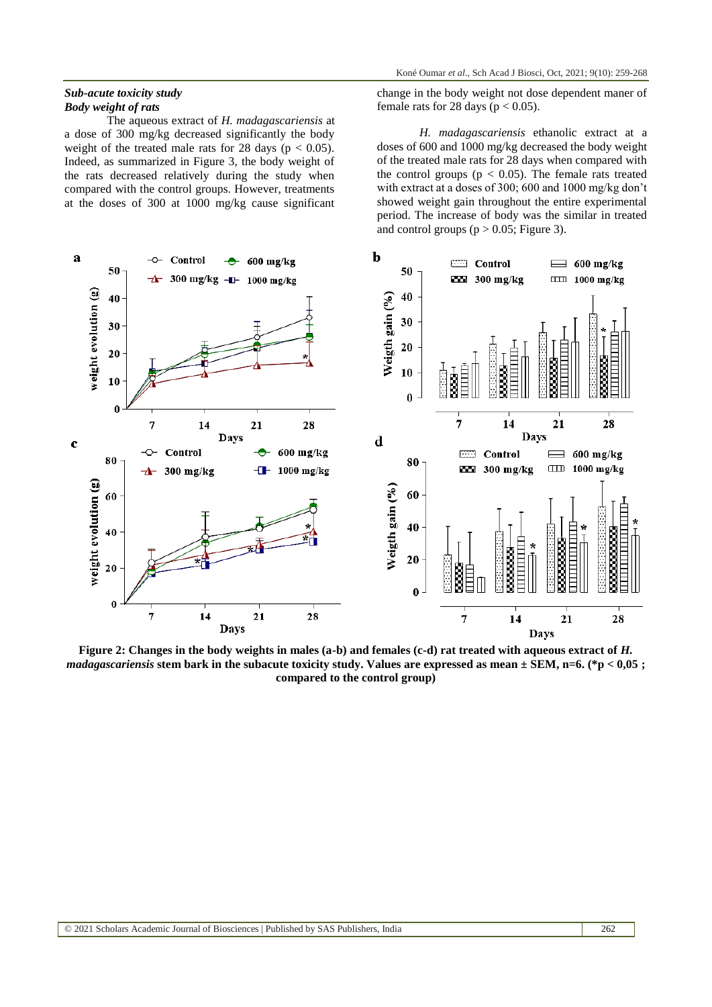#### *Sub-acute toxicity study Body weight of rats*

The aqueous extract of *H. madagascariensis* at a dose of 300 mg/kg decreased significantly the body weight of the treated male rats for 28 days ( $p < 0.05$ ). Indeed, as summarized in Figure 3, the body weight of the rats decreased relatively during the study when compared with the control groups. However, treatments at the doses of 300 at 1000 mg/kg cause significant

change in the body weight not dose dependent maner of female rats for 28 days ( $p < 0.05$ ).

*H. madagascariensis* ethanolic extract at a doses of 600 and 1000 mg/kg decreased the body weight of the treated male rats for 28 days when compared with the control groups ( $p < 0.05$ ). The female rats treated with extract at a doses of 300; 600 and 1000 mg/kg don't showed weight gain throughout the entire experimental period. The increase of body was the similar in treated and control groups ( $p > 0.05$ ; Figure 3).



**Figure 2: Changes in the body weights in males (a-b) and females (c-d) rat treated with aqueous extract of** *H. madagascariensis* **stem bark in the subacute toxicity study. Values are expressed as mean ± SEM, n=6. (\*p < 0,05 ; compared to the control group)**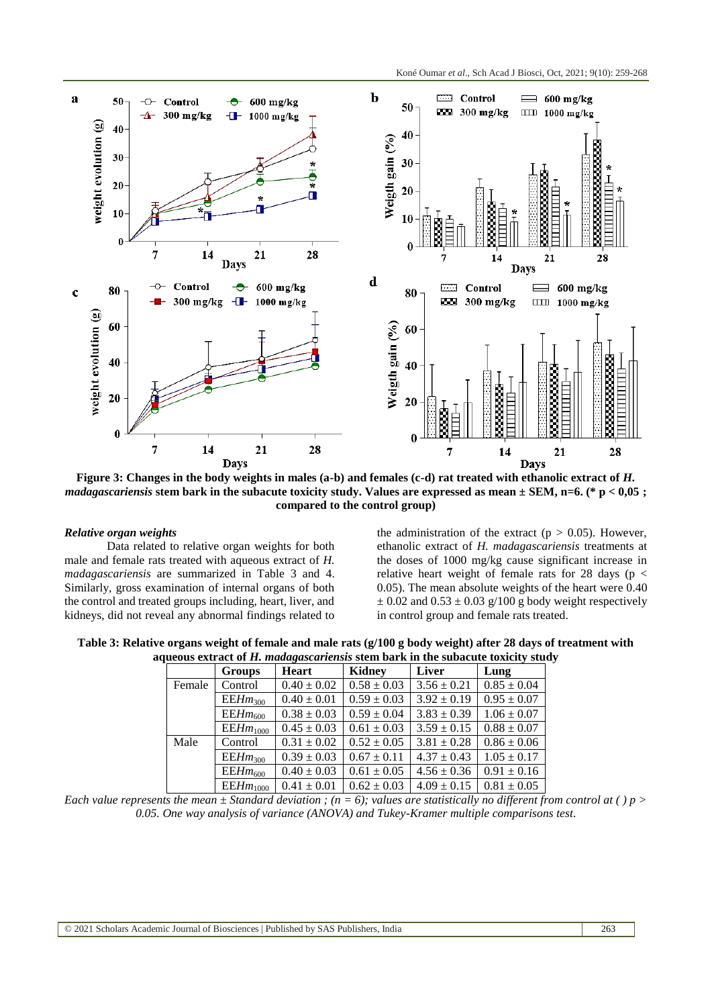

**Figure 3: Changes in the body weights in males (a-b) and females (c-d) rat treated with ethanolic extract of** *H***.** *madagascariensis* **stem bark in the subacute toxicity study. Values are expressed as mean ± SEM, n=6. (\* p < 0,05 ; compared to the control group)**

#### *Relative organ weights*

Data related to relative organ weights for both male and female rats treated with aqueous extract of *H. madagascariensis* are summarized in Table 3 and 4. Similarly, gross examination of internal organs of both the control and treated groups including, heart, liver, and kidneys, did not reveal any abnormal findings related to

the administration of the extract ( $p > 0.05$ ). However, ethanolic extract of *H. madagascariensis* treatments at the doses of 1000 mg/kg cause significant increase in relative heart weight of female rats for 28 days ( $p <$ 0.05). The mean absolute weights of the heart were 0.40  $\pm$  0.02 and 0.53  $\pm$  0.03 g/100 g body weight respectively in control group and female rats treated.

**Table 3: Relative organs weight of female and male rats (g/100 g body weight) after 28 days of treatment with aqueous extract of** *H. madagascariensis* **stem bark in the subacute toxicity study**

|        | <b>Groups</b>       | Heart           | Kidney          | Liver           | Lung            |
|--------|---------------------|-----------------|-----------------|-----------------|-----------------|
| Female | Control             | $0.40 \pm 0.02$ | $0.58 \pm 0.03$ | $3.56 \pm 0.21$ | $0.85 \pm 0.04$ |
|        | $EEHm_{300}$        | $0.40 \pm 0.01$ | $0.59 \pm 0.03$ | $3.92 \pm 0.19$ | $0.95 \pm 0.07$ |
|        | $EEHm_{600}$        | $0.38 \pm 0.03$ | $0.59 \pm 0.04$ | $3.83 \pm 0.39$ | $1.06 \pm 0.07$ |
|        | $EEHm_{1000}$       | $0.45 \pm 0.03$ | $0.61 \pm 0.03$ | $3.59 \pm 0.15$ | $0.88 \pm 0.07$ |
| Male   | Control             | $0.31 \pm 0.02$ | $0.52 \pm 0.05$ | $3.81 \pm 0.28$ | $0.86 \pm 0.06$ |
|        | EEHm <sub>300</sub> | $0.39 \pm 0.03$ | $0.67 \pm 0.11$ | $4.37 \pm 0.43$ | $1.05 \pm 0.17$ |
|        | $EEHm_{600}$        | $0.40 \pm 0.03$ | $0.61 \pm 0.05$ | $4.56 \pm 0.36$ | $0.91 \pm 0.16$ |
|        | $EEHm_{1000}$       | $0.41 \pm 0.01$ | $0.62 \pm 0.03$ | $4.09 \pm 0.15$ | $0.81 \pm 0.05$ |

*Each value represents the mean*  $\pm$  *Standard deviation ; (n = 6); values are statistically no different from control at () p > 0.05. One way analysis of variance (ANOVA) and Tukey-Kramer multiple comparisons test*.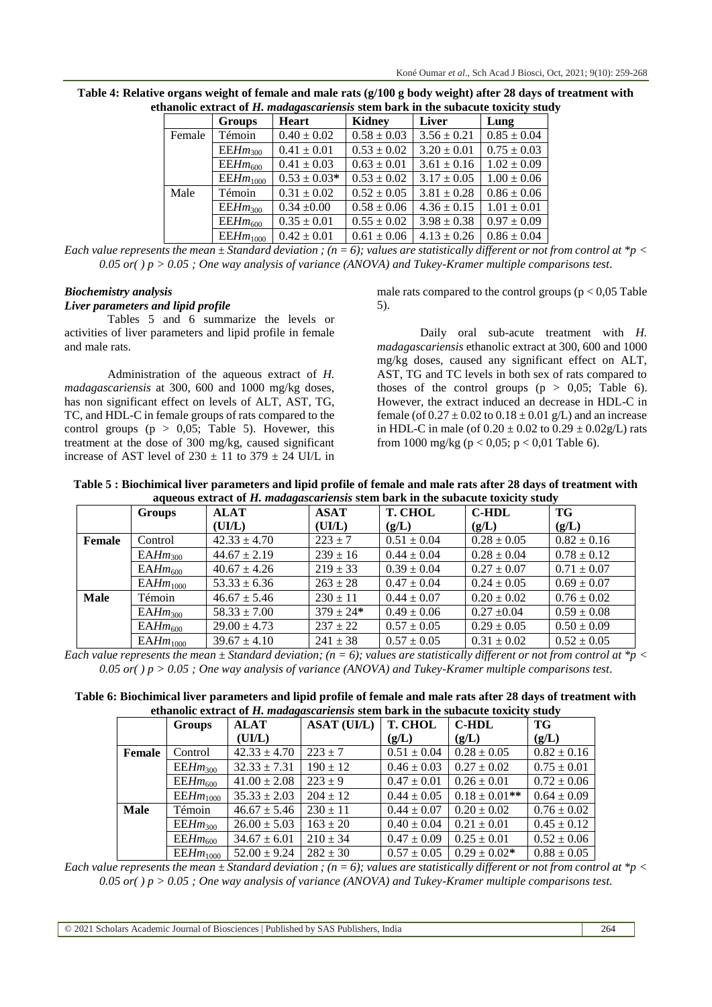|        | ianone extract of 11. maaagascarichsis stem bark in the subacute toxicity sta |                  |                 |                 |                 |  |  |  |  |
|--------|-------------------------------------------------------------------------------|------------------|-----------------|-----------------|-----------------|--|--|--|--|
|        | <b>Groups</b>                                                                 | <b>Heart</b>     | Kidney          | <b>Liver</b>    | Lung            |  |  |  |  |
| Female | Témoin                                                                        | $0.40 \pm 0.02$  | $0.58 \pm 0.03$ | $3.56 \pm 0.21$ | $0.85 \pm 0.04$ |  |  |  |  |
|        | $EEHm_{300}$                                                                  | $0.41 \pm 0.01$  | $0.53 \pm 0.02$ | $3.20 \pm 0.01$ | $0.75 \pm 0.03$ |  |  |  |  |
|        | $EEHm_{600}$                                                                  | $0.41 \pm 0.03$  | $0.63 \pm 0.01$ | $3.61 \pm 0.16$ | $1.02 \pm 0.09$ |  |  |  |  |
|        | $EEHm_{1000}$                                                                 | $0.53 \pm 0.03*$ | $0.53 \pm 0.02$ | $3.17 \pm 0.05$ | $1.00 \pm 0.06$ |  |  |  |  |
| Male   | Témoin                                                                        | $0.31 \pm 0.02$  | $0.52 \pm 0.05$ | $3.81 \pm 0.28$ | $0.86 \pm 0.06$ |  |  |  |  |
|        | $EEHm_{300}$                                                                  | $0.34 \pm 0.00$  | $0.58 \pm 0.06$ | $4.36 \pm 0.15$ | $1.01 \pm 0.01$ |  |  |  |  |
|        | $EEHm_{600}$                                                                  | $0.35 \pm 0.01$  | $0.55 \pm 0.02$ | $3.98 \pm 0.38$ | $0.97 \pm 0.09$ |  |  |  |  |
|        | $EEHm_{1000}$                                                                 | $0.42 \pm 0.01$  | $0.61 \pm 0.06$ | $4.13 \pm 0.26$ | $0.86 \pm 0.04$ |  |  |  |  |

**Table 4: Relative organs weight of female and male rats (g/100 g body weight) after 28 days of treatment with ethanolic extract of** *H. madagascariensis* **stem bark in the subacute toxicity study**

*Each value represents the mean ± Standard deviation ; (n = 6); values are statistically different or not from control at \*p < 0.05 or( ) p > 0.05 ; One way analysis of variance (ANOVA) and Tukey-Kramer multiple comparisons test*.

# *Biochemistry analysis*

### *Liver parameters and lipid profile*

Tables 5 and 6 summarize the levels or activities of liver parameters and lipid profile in female and male rats.

Administration of the aqueous extract of *H. madagascariensis* at 300, 600 and 1000 mg/kg doses, has non significant effect on levels of ALT, AST, TG, TC, and HDL-C in female groups of rats compared to the control groups ( $p > 0.05$ ; Table 5). Hovewer, this treatment at the dose of 300 mg/kg, caused significant increase of AST level of  $230 \pm 11$  to  $379 \pm 24$  UI/L in

male rats compared to the control groups ( $p < 0.05$  Table 5).

Daily oral sub-acute treatment with *H. madagascariensis* ethanolic extract at 300, 600 and 1000 mg/kg doses, caused any significant effect on ALT, AST, TG and TC levels in both sex of rats compared to thoses of the control groups ( $p > 0.05$ ; Table 6). However, the extract induced an decrease in HDL-C in female (of  $0.27 \pm 0.02$  to  $0.18 \pm 0.01$  g/L) and an increase in HDL-C in male (of  $0.20 \pm 0.02$  to  $0.29 \pm 0.02$  g/L) rats from 1000 mg/kg ( $p < 0.05$ ;  $p < 0.01$  Table 6).

**Table 5 : Biochimical liver parameters and lipid profile of female and male rats after 28 days of treatment with aqueous extract of** *H. madagascariensis* **stem bark in the subacute toxicity study**

|             | <b>Groups</b>        | <u>waarono enin wee of the helice of the control of the control of the second of the second theory of the control</u><br><b>ALAT</b> | <b>ASAT</b>   | <b>T. CHOL</b>  | <b>C-HDL</b>    | TG              |
|-------------|----------------------|--------------------------------------------------------------------------------------------------------------------------------------|---------------|-----------------|-----------------|-----------------|
|             |                      | (UI/L)                                                                                                                               | (UIL)         | (g/L)           | (g/L)           | (g/L)           |
| Female      | Control              | $42.33 \pm 4.70$                                                                                                                     | $223 \pm 7$   | $0.51 \pm 0.04$ | $0.28 \pm 0.05$ | $0.82 \pm 0.16$ |
|             | EAHm <sub>300</sub>  | $44.67 \pm 2.19$                                                                                                                     | $239 \pm 16$  | $0.44 \pm 0.04$ | $0.28 \pm 0.04$ | $0.78 \pm 0.12$ |
|             | $EAHm_{600}$         | $40.67 \pm 4.26$                                                                                                                     | $219 \pm 33$  | $0.39 \pm 0.04$ | $0.27 \pm 0.07$ | $0.71 \pm 0.07$ |
|             | EAHm <sub>1000</sub> | $53.33 \pm 6.36$                                                                                                                     | $263 \pm 28$  | $0.47 \pm 0.04$ | $0.24 \pm 0.05$ | $0.69 \pm 0.07$ |
| <b>Male</b> | Témoin               | $46.67 \pm 5.46$                                                                                                                     | $230 \pm 11$  | $0.44 \pm 0.07$ | $0.20 \pm 0.02$ | $0.76 \pm 0.02$ |
|             | EAHm <sub>300</sub>  | $58.33 \pm 7.00$                                                                                                                     | $379 \pm 24*$ | $0.49 \pm 0.06$ | $0.27 \pm 0.04$ | $0.59 \pm 0.08$ |
|             | $EAHm_{600}$         | $29.00 \pm 4.73$                                                                                                                     | $237 \pm 22$  | $0.57 \pm 0.05$ | $0.29 \pm 0.05$ | $0.50 \pm 0.09$ |
|             | EAHm <sub>1000</sub> | $39.67 \pm 4.10$                                                                                                                     | $241 \pm 38$  | $0.57 \pm 0.05$ | $0.31 \pm 0.02$ | $0.52 \pm 0.05$ |

*Each value represents the mean ± Standard deviation; (n = 6); values are statistically different or not from control at \*p < 0.05 or( ) p > 0.05 ; One way analysis of variance (ANOVA) and Tukey-Kramer multiple comparisons test*.

| Table 6: Biochimical liver parameters and lipid profile of female and male rats after 28 days of treatment with |  |
|-----------------------------------------------------------------------------------------------------------------|--|
| ethanolic extract of H, madagascariensis stem bark in the subacute toxicity study                               |  |

|             | Groups        | <b>ALAT</b>      | <b>ASAT (UI/L)</b> | <b>T. CHOL</b>  | <b>C-HDL</b>       | TG              |
|-------------|---------------|------------------|--------------------|-----------------|--------------------|-----------------|
|             |               | (UI/L)           |                    | (g/L)           | (g/L)              | (g/L)           |
| Female      | Control       | $42.33 \pm 4.70$ | $223 \pm 7$        | $0.51 \pm 0.04$ | $0.28 \pm 0.05$    | $0.82 \pm 0.16$ |
|             | $EEHm_{300}$  | $32.33 \pm 7.31$ | $190 \pm 12$       | $0.46 \pm 0.03$ | $0.27 \pm 0.02$    | $0.75 \pm 0.01$ |
|             | $EEHm_{600}$  | $41.00 \pm 2.08$ | $223 \pm 9$        | $0.47 \pm 0.01$ | $0.26 \pm 0.01$    | $0.72 \pm 0.06$ |
|             | $EEHm_{1000}$ | $35.33 \pm 2.03$ | $204 \pm 12$       | $0.44 \pm 0.05$ | $0.18 \pm 0.01$ ** | $0.64 \pm 0.09$ |
| <b>Male</b> | Témoin        | $46.67 \pm 5.46$ | $230 \pm 11$       | $0.44 \pm 0.07$ | $0.20 \pm 0.02$    | $0.76 \pm 0.02$ |
|             | $EEHm_{300}$  | $26.00 \pm 5.03$ | $163 \pm 20$       | $0.40 \pm 0.04$ | $0.21 \pm 0.01$    | $0.45 \pm 0.12$ |
|             | $EEHm_{600}$  | $34.67 \pm 6.01$ | $210 \pm 34$       | $0.47 \pm 0.09$ | $0.25 \pm 0.01$    | $0.52 \pm 0.06$ |
|             | $EEHm_{1000}$ | $52.00 \pm 9.24$ | $282 \pm 30$       | $0.57 \pm 0.05$ | $0.29 \pm 0.02*$   | $0.88 \pm 0.05$ |

*Each value represents the mean ± Standard deviation ; (n = 6); values are statistically different or not from control at \*p < 0.05 or( ) p > 0.05 ; One way analysis of variance (ANOVA) and Tukey-Kramer multiple comparisons test*.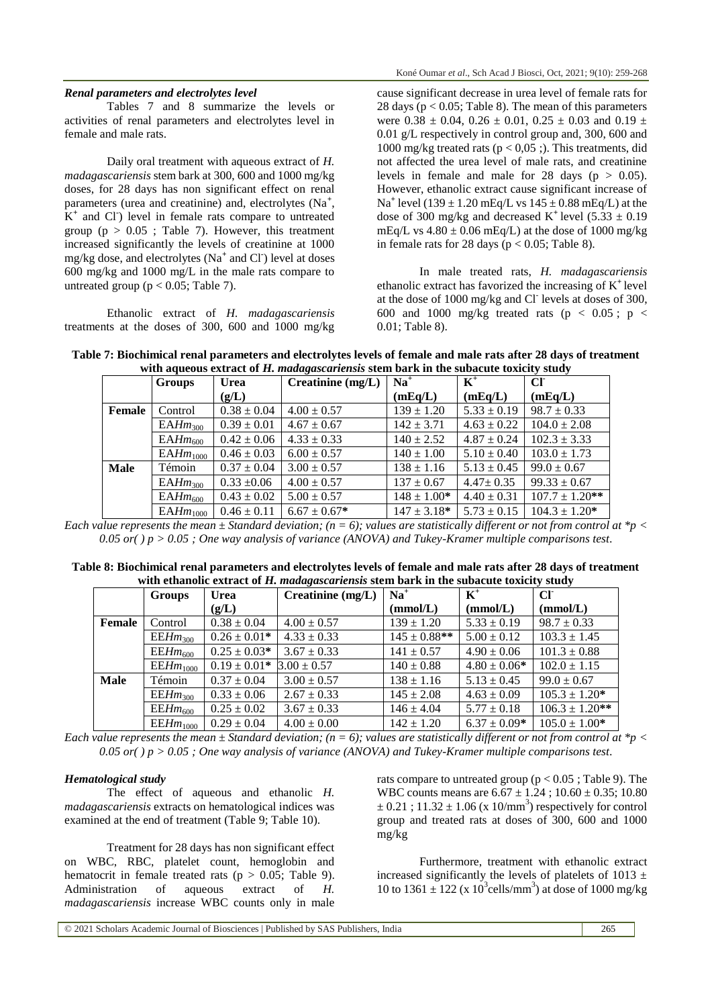#### *Renal parameters and electrolytes level*

Tables 7 and 8 summarize the levels or activities of renal parameters and electrolytes level in female and male rats.

Daily oral treatment with aqueous extract of *H. madagascariensis* stem bark at 300, 600 and 1000 mg/kg doses, for 28 days has non significant effect on renal parameters (urea and creatinine) and, electrolytes (Na<sup>+</sup>,  $K^+$  and Cl<sup>-</sup>) level in female rats compare to untreated group ( $p > 0.05$ ; Table 7). However, this treatment increased significantly the levels of creatinine at 1000 mg/kg dose, and electrolytes (Na**<sup>+</sup>** and Cl**-** ) level at doses 600 mg/kg and 1000 mg/L in the male rats compare to untreated group ( $p < 0.05$ ; Table 7).

Ethanolic extract of *H. madagascariensis* treatments at the doses of 300, 600 and 1000 mg/kg cause significant decrease in urea level of female rats for 28 days ( $p < 0.05$ ; Table 8). The mean of this parameters were  $0.38 \pm 0.04$ ,  $0.26 \pm 0.01$ ,  $0.25 \pm 0.03$  and  $0.19 \pm 0.03$ 0.01 g/L respectively in control group and, 300, 600 and 1000 mg/kg treated rats ( $p < 0.05$ ;). This treatments, did not affected the urea level of male rats, and creatinine levels in female and male for 28 days ( $p > 0.05$ ). However, ethanolic extract cause significant increase of Na<sup>+</sup> level (139  $\pm$  1.20 mEq/L vs 145  $\pm$  0.88 mEq/L) at the dose of 300 mg/kg and decreased K<sup>+</sup> level  $(5.33 \pm 0.19)$ mEq/L vs  $4.80 \pm 0.06$  mEq/L) at the dose of 1000 mg/kg in female rats for 28 days ( $p < 0.05$ ; Table 8).

In male treated rats, *H. madagascariensis* ethanolic extract has favorized the increasing of K**<sup>+</sup>**level at the dose of 1000 mg/kg and Cl<sup>-</sup> levels at doses of 300, 600 and 1000 mg/kg treated rats ( $p < 0.05$ ;  $p <$ 0.01; Table 8).

| Table 7: Biochimical renal parameters and electrolytes levels of female and male rats after 28 days of treatment |
|------------------------------------------------------------------------------------------------------------------|
| with aqueous extract of H. madagascariensis stem bark in the subacute toxicity study                             |

|             | <b>Groups</b>       | <b>Urea</b>     | Creatinine $(mg/L)$ | $Na+$            | $K^+$           | CI                  |
|-------------|---------------------|-----------------|---------------------|------------------|-----------------|---------------------|
|             |                     | (g/L)           |                     | (mEq/L)          | (mEq/L)         | (mEq/L)             |
| Female      | Control             | $0.38 \pm 0.04$ | $4.00 \pm 0.57$     | $139 \pm 1.20$   | $5.33 \pm 0.19$ | $98.7 \pm 0.33$     |
|             | EAHm <sub>300</sub> | $0.39 \pm 0.01$ | $4.67 \pm 0.67$     | $142 \pm 3.71$   | $4.63 \pm 0.22$ | $104.0 \pm 2.08$    |
|             | $EAHm_{600}$        | $0.42 \pm 0.06$ | $4.33 \pm 0.33$     | $140 \pm 2.52$   | $4.87 \pm 0.24$ | $102.3 \pm 3.33$    |
|             | $EAHm_{1000}$       | $0.46 \pm 0.03$ | $6.00 \pm 0.57$     | $140 \pm 1.00$   | $5.10 \pm 0.40$ | $103.0 \pm 1.73$    |
| <b>Male</b> | Témoin              | $0.37 \pm 0.04$ | $3.00 \pm 0.57$     | $138 \pm 1.16$   | $5.13 \pm 0.45$ | $99.0 \pm 0.67$     |
|             | EAHm <sub>300</sub> | $0.33 \pm 0.06$ | $4.00 \pm 0.57$     | $137 \pm 0.67$   | $4.47 \pm 0.35$ | $99.33 \pm 0.67$    |
|             | $EAHm_{600}$        | $0.43 \pm 0.02$ | $5.00 \pm 0.57$     | $148 \pm 1.00*$  | $4.40 \pm 0.31$ | $107.7 \pm 1.20$ ** |
|             | $EAHm_{1000}$       | $0.46 \pm 0.11$ | $6.67 \pm 0.67*$    | $147 \pm 3.18^*$ | $5.73 \pm 0.15$ | $104.3 \pm 1.20^*$  |

*Each value represents the mean ± Standard deviation; (n = 6); values are statistically different or not from control at \*p < 0.05 or( ) p > 0.05 ; One way analysis of variance (ANOVA) and Tukey-Kramer multiple comparisons test*.

| Table 8: Biochimical renal parameters and electrolytes levels of female and male rats after 28 days of treatment |  |
|------------------------------------------------------------------------------------------------------------------|--|
| with ethanolic extract of H. madagascariensis stem bark in the subacute toxicity study                           |  |

|        | Groups              | <b>Urea</b>      | Creatinine $(mg/L)$ | $Na+$             | $K^+$            | CF                 |
|--------|---------------------|------------------|---------------------|-------------------|------------------|--------------------|
|        |                     | (g/L)            |                     | (mmol/L)          | (mmol/L)         | (mmol/L)           |
| Female | Control             | $0.38 \pm 0.04$  | $4.00 \pm 0.57$     | $139 \pm 1.20$    | $5.33 \pm 0.19$  | $98.7 \pm 0.33$    |
|        | EEHm <sub>300</sub> | $0.26 \pm 0.01*$ | $4.33 \pm 0.33$     | $145 \pm 0.88$ ** | $5.00 \pm 0.12$  | $103.3 \pm 1.45$   |
|        | $EEHm_{600}$        | $0.25 \pm 0.03*$ | $3.67 \pm 0.33$     | $141 \pm 0.57$    | $4.90 \pm 0.06$  | $101.3 \pm 0.88$   |
|        | $EEHm_{1000}$       | $0.19 \pm 0.01*$ | $3.00 \pm 0.57$     | $140 \pm 0.88$    | $4.80 \pm 0.06*$ | $102.0 \pm 1.15$   |
| Male   | Témoin              | $0.37 \pm 0.04$  | $3.00 \pm 0.57$     | $138 \pm 1.16$    | $5.13 \pm 0.45$  | $99.0 \pm 0.67$    |
|        | EEHm <sub>300</sub> | $0.33 \pm 0.06$  | $2.67 \pm 0.33$     | $145 \pm 2.08$    | $4.63 \pm 0.09$  | $105.3 \pm 1.20^*$ |
|        | $EEHm_{600}$        | $0.25 \pm 0.02$  | $3.67 \pm 0.33$     | $146 \pm 4.04$    | $5.77 \pm 0.18$  | $106.3 \pm 1.20**$ |
|        | $EEHm_{1000}$       | $0.29 \pm 0.04$  | $4.00 \pm 0.00$     | $142 \pm 1.20$    | $6.37 \pm 0.09*$ | $105.0 \pm 1.00*$  |

*Each value represents the mean ± Standard deviation; (n = 6); values are statistically different or not from control at \*p < 0.05 or( ) p > 0.05 ; One way analysis of variance (ANOVA) and Tukey-Kramer multiple comparisons test*.

#### *Hematological study*

The effect of aqueous and ethanolic *H. madagascariensis* extracts on hematological indices was examined at the end of treatment (Table 9; Table 10).

Treatment for 28 days has non significant effect on WBC, RBC, platelet count, hemoglobin and hematocrit in female treated rats ( $p > 0.05$ ; Table 9). Administration of aqueous extract of *H. madagascariensis* increase WBC counts only in male

rats compare to untreated group ( $p < 0.05$ ; Table 9). The WBC counts means are  $6.67 \pm 1.24$ ;  $10.60 \pm 0.35$ ;  $10.80$  $\pm$  0.21 ; 11.32  $\pm$  1.06 (x 10/mm<sup>3</sup>) respectively for control group and treated rats at doses of 300, 600 and 1000 mg/kg

Furthermore, treatment with ethanolic extract increased significantly the levels of platelets of 1013  $\pm$ 10 to 1361  $\pm$  122 (x 10<sup>3</sup> cells/mm<sup>3</sup>) at dose of 1000 mg/kg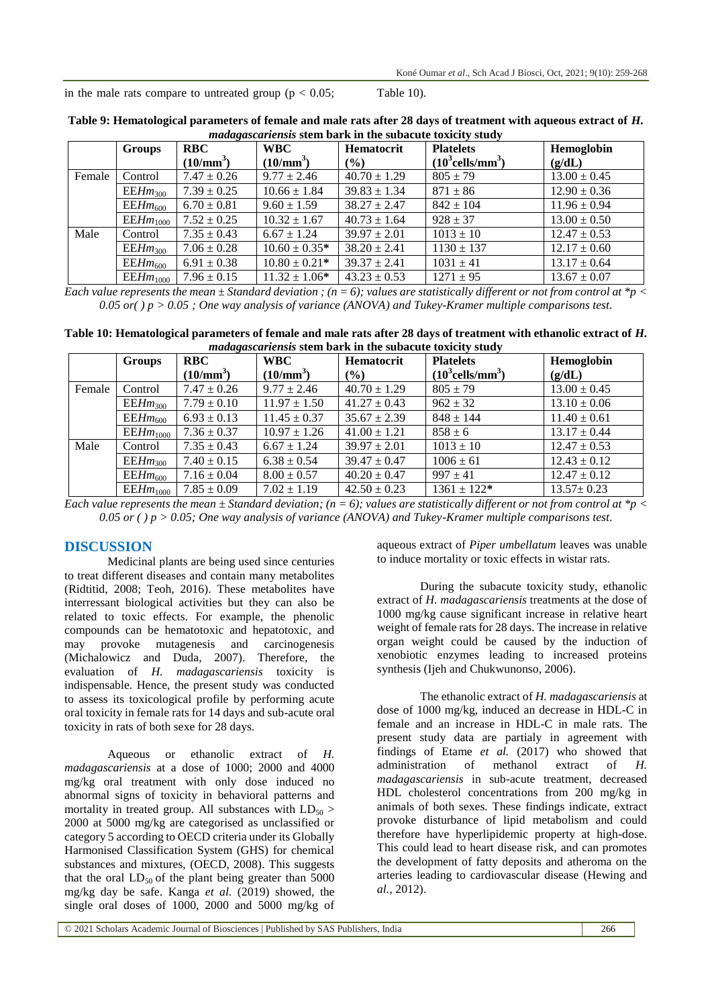in the male rats compare to untreated group  $(p < 0.05;$  Table 10).

| <i>maagusturiensis</i> stein val K in the subacute toxicity study |               |                 |                   |                  |                                 |                  |  |  |
|-------------------------------------------------------------------|---------------|-----------------|-------------------|------------------|---------------------------------|------------------|--|--|
|                                                                   | Groups        | <b>RBC</b>      | <b>WBC</b>        | Hematocrit       | <b>Platelets</b>                | Hemoglobin       |  |  |
|                                                                   |               | $(10/mm^3)$     | $(10/mm^3)$       | $\frac{9}{6}$    | $(10^3$ cells/mm <sup>3</sup> ) | (g/dL)           |  |  |
| Female                                                            | Control       | $7.47 \pm 0.26$ | $9.77 \pm 2.46$   | $40.70 \pm 1.29$ | $805 \pm 79$                    | $13.00 \pm 0.45$ |  |  |
|                                                                   | $EEHm_{300}$  | $7.39 \pm 0.25$ | $10.66 \pm 1.84$  | $39.83 \pm 1.34$ | $871 \pm 86$                    | $12.90 \pm 0.36$ |  |  |
|                                                                   | $EEHm_{600}$  | $6.70 \pm 0.81$ | $9.60 \pm 1.59$   | $38.27 \pm 2.47$ | $842 \pm 104$                   | $11.96 \pm 0.94$ |  |  |
|                                                                   | $EEHm_{1000}$ | $7.52 \pm 0.25$ | $10.32 \pm 1.67$  | $40.73 \pm 1.64$ | $928 \pm 37$                    | $13.00 \pm 0.50$ |  |  |
| Male                                                              | Control       | $7.35 \pm 0.43$ | $6.67 \pm 1.24$   | $39.97 \pm 2.01$ | $1013 \pm 10$                   | $12.47 \pm 0.53$ |  |  |
|                                                                   | $EEHm_{300}$  | $7.06 \pm 0.28$ | $10.60 \pm 0.35*$ | $38.20 \pm 2.41$ | $1130 \pm 137$                  | $12.17 \pm 0.60$ |  |  |
|                                                                   | $EEHm_{600}$  | $6.91 \pm 0.38$ | $10.80 \pm 0.21*$ | $39.37 \pm 2.41$ | $1031 \pm 41$                   | $13.17 \pm 0.64$ |  |  |
|                                                                   | $EEHm_{1000}$ | $7.96 \pm 0.15$ | $11.32 \pm 1.06*$ | $43.23 \pm 0.53$ | $1271 \pm 95$                   | $13.67 \pm 0.07$ |  |  |

**Table 9: Hematological parameters of female and male rats after 28 days of treatment with aqueous extract of** *H. madagascariensis* **stem bark in the subacute toxicity study**

*Each value represents the mean ± Standard deviation ; (n = 6); values are statistically different or not from control at \*p < 0.05 or( ) p > 0.05 ; One way analysis of variance (ANOVA) and Tukey-Kramer multiple comparisons test*.

| Table 10: Hematological parameters of female and male rats after 28 days of treatment with ethanolic extract of H. |
|--------------------------------------------------------------------------------------------------------------------|
| <i>madagascariensis</i> stem bark in the subacute toxicity study                                                   |

|        | Groups        | <b>RBC</b>      | <b>WBC</b>       | <b>Hematocrit</b> | <b>Platelets</b>                | Hemoglobin       |
|--------|---------------|-----------------|------------------|-------------------|---------------------------------|------------------|
|        |               | $(10/mm^3)$     | $(10/mm^3)$      | (%)               | $(10^3$ cells/mm <sup>3</sup> ) | (g/dL)           |
| Female | Control       | $7.47 \pm 0.26$ | $9.77 \pm 2.46$  | $40.70 \pm 1.29$  | $805 \pm 79$                    | $13.00 \pm 0.45$ |
|        | $EEHm_{300}$  | $7.79 \pm 0.10$ | $11.97 \pm 1.50$ | $41.27 \pm 0.43$  | $962 \pm 32$                    | $13.10 \pm 0.06$ |
|        | $EEHm_{600}$  | $6.93 \pm 0.13$ | $11.45 \pm 0.37$ | $35.67 \pm 2.39$  | $848 \pm 144$                   | $11.40 \pm 0.61$ |
|        | $EEHm_{1000}$ | $7.36 \pm 0.37$ | $10.97 \pm 1.26$ | $41.00 \pm 1.21$  | $858 \pm 6$                     | $13.17 \pm 0.44$ |
| Male   | Control       | $7.35 \pm 0.43$ | $6.67 \pm 1.24$  | $39.97 \pm 2.01$  | $1013 \pm 10$                   | $12.47 \pm 0.53$ |
|        | $EEHm_{300}$  | $7.40 \pm 0.15$ | $6.38 \pm 0.54$  | $39.47 \pm 0.47$  | $1006 \pm 61$                   | $12.43 \pm 0.12$ |
|        | $EEHm_{600}$  | $7.16 \pm 0.04$ | $8.00 \pm 0.57$  | $40.20 \pm 0.47$  | $997 \pm 41$                    | $12.47 \pm 0.12$ |
|        | $EEHm_{1000}$ | $7.85 \pm 0.09$ | $7.02 \pm 1.19$  | $42.50 \pm 0.23$  | $1361 \pm 122*$                 | $13.57 \pm 0.23$ |

*Each value represents the mean ± Standard deviation; (n = 6); values are statistically different or not from control at \*p < 0.05 or ( ) p > 0.05; One way analysis of variance (ANOVA) and Tukey-Kramer multiple comparisons test*.

#### **DISCUSSION**

Medicinal plants are being used since centuries to treat different diseases and contain many metabolites (Ridtitid, 2008; Teoh, 2016). These metabolites have interressant biological activities but they can also be related to toxic effects. For example, the phenolic compounds can be hematotoxic and hepatotoxic, and may provoke mutagenesis and carcinogenesis (Michalowicz and Duda, 2007). Therefore, the evaluation of *H. madagascariensis* toxicity is indispensable. Hence, the present study was conducted to assess its toxicological profile by performing acute oral toxicity in female rats for 14 days and sub-acute oral toxicity in rats of both sexe for 28 days.

Aqueous or ethanolic extract of *H. madagascariensis* at a dose of 1000; 2000 and 4000 mg/kg oral treatment with only dose induced no abnormal signs of toxicity in behavioral patterns and mortality in treated group. All substances with  $LD_{50}$  > 2000 at 5000 mg/kg are categorised as unclassified or category 5 according to OECD criteria under its Globally Harmonised Classification System (GHS) for chemical substances and mixtures, (OECD, 2008). This suggests that the oral  $LD_{50}$  of the plant being greater than 5000 mg/kg day be safe. Kanga *et al.* (2019) showed, the single oral doses of 1000, 2000 and 5000 mg/kg of

aqueous extract of *Piper umbellatum* leaves was unable to induce mortality or toxic effects in wistar rats.

During the subacute toxicity study, ethanolic extract of *H. madagascariensis* treatments at the dose of 1000 mg/kg cause significant increase in relative heart weight of female rats for 28 days. The increase in relative organ weight could be caused by the induction of xenobiotic enzymes leading to increased proteins synthesis (Ijeh and Chukwunonso, 2006).

The ethanolic extract of *H. madagascariensis* at dose of 1000 mg/kg, induced an decrease in HDL-C in female and an increase in HDL-C in male rats. The present study data are partialy in agreement with findings of Etame *et al.* (2017) who showed that administration of methanol extract of *H. madagascariensis* in sub-acute treatment, decreased HDL cholesterol concentrations from 200 mg/kg in animals of both sexes. These findings indicate, extract provoke disturbance of lipid metabolism and could therefore have hyperlipidemic property at high-dose. This could lead to heart disease risk, and can promotes the development of fatty deposits and atheroma on the arteries leading to cardiovascular disease (Hewing and *al.*, 2012).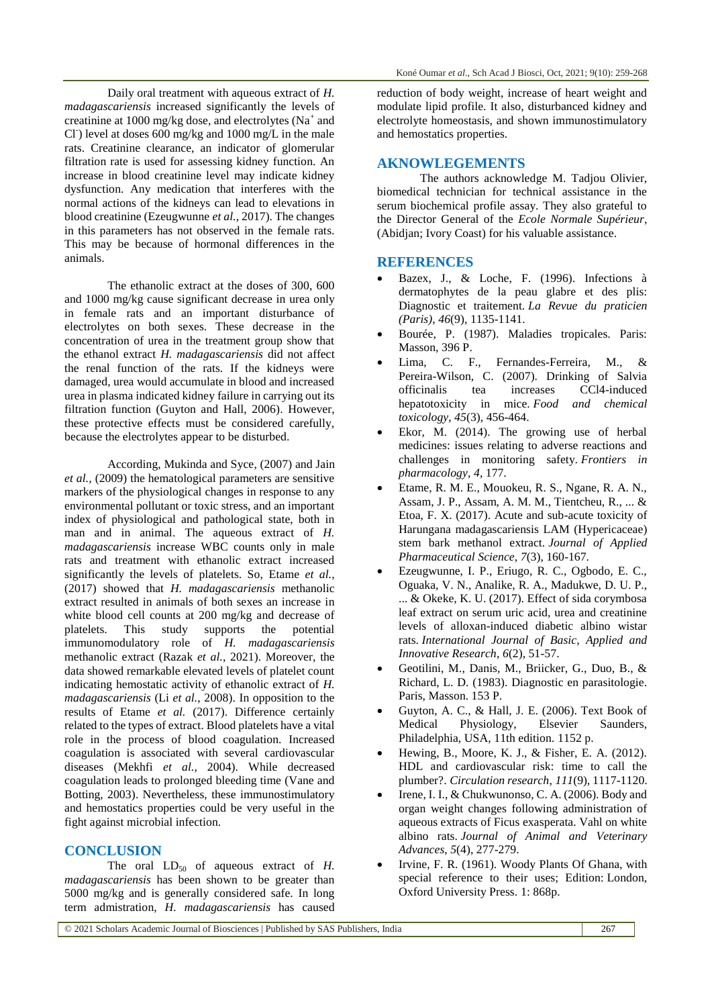Daily oral treatment with aqueous extract of *H. madagascariensis* increased significantly the levels of creatinine at 1000 mg/kg dose, and electrolytes  $(Na^+$  and Cl<sup>-</sup>) level at doses 600 mg/kg and 1000 mg/L in the male rats. Creatinine clearance, an indicator of glomerular filtration rate is used for assessing kidney function. An increase in blood creatinine level may indicate kidney dysfunction. Any medication that interferes with the normal actions of the kidneys can lead to elevations in blood creatinine (Ezeugwunne *et al.*, 2017). The changes in this parameters has not observed in the female rats. This may be because of hormonal differences in the animals.

The ethanolic extract at the doses of 300, 600 and 1000 mg/kg cause significant decrease in urea only in female rats and an important disturbance of electrolytes on both sexes. These decrease in the concentration of urea in the treatment group show that the ethanol extract *H. madagascariensis* did not affect the renal function of the rats. If the kidneys were damaged, urea would accumulate in blood and increased urea in plasma indicated kidney failure in carrying out its filtration function (Guyton and Hall, 2006). However, these protective effects must be considered carefully, because the electrolytes appear to be disturbed.

According, Mukinda and Syce, (2007) and Jain *et al.,* (2009) the hematological parameters are sensitive markers of the physiological changes in response to any environmental pollutant or toxic stress, and an important index of physiological and pathological state, both in man and in animal. The aqueous extract of *H. madagascariensis* increase WBC counts only in male rats and treatment with ethanolic extract increased significantly the levels of platelets. So, Etame *et al.,* (2017) showed that *H. madagascariensis* methanolic extract resulted in animals of both sexes an increase in white blood cell counts at 200 mg/kg and decrease of platelets. This study supports the potential immunomodulatory role of *H. madagascariensis* methanolic extract (Razak *et al.*, 2021). Moreover, the data showed remarkable elevated levels of platelet count indicating hemostatic activity of ethanolic extract of *H. madagascariensis* (Li *et al.*, 2008). In opposition to the results of Etame *et al.* (2017). Difference certainly related to the types of extract. Blood platelets have a vital role in the process of blood coagulation. Increased coagulation is associated with several cardiovascular diseases (Mekhfi *et al.*, 2004). While decreased coagulation leads to prolonged bleeding time (Vane and Botting, 2003). Nevertheless, these immunostimulatory and hemostatics properties could be very useful in the fight against microbial infection.

### **CONCLUSION**

The oral  $LD_{50}$  of aqueous extract of *H*. *madagascariensis* has been shown to be greater than 5000 mg/kg and is generally considered safe. In long term admistration, *H. madagascariensis* has caused

reduction of body weight, increase of heart weight and modulate lipid profile. It also, disturbanced kidney and electrolyte homeostasis, and shown immunostimulatory and hemostatics properties.

# **AKNOWLEGEMENTS**

The authors acknowledge M. Tadjou Olivier, biomedical technician for technical assistance in the serum biochemical profile assay. They also grateful to the Director General of the *Ecole Normale Supérieur*, (Abidjan; Ivory Coast) for his valuable assistance.

## **REFERENCES**

- Bazex, J., & Loche, F. (1996). Infections à dermatophytes de la peau glabre et des plis: Diagnostic et traitement. *La Revue du praticien (Paris)*, *46*(9), 1135-1141.
- Bourée, P. (1987). Maladies tropicales. Paris: Masson, 396 P.
- Lima, C. F., Fernandes-Ferreira, M., & Pereira-Wilson, C. (2007). Drinking of Salvia officinalis tea increases CCl4-induced hepatotoxicity in mice. *Food and chemical toxicology*, *45*(3), 456-464.
- Ekor, M. (2014). The growing use of herbal medicines: issues relating to adverse reactions and challenges in monitoring safety. *Frontiers in pharmacology*, *4*, 177.
- Etame, R. M. E., Mouokeu, R. S., Ngane, R. A. N., Assam, J. P., Assam, A. M. M., Tientcheu, R., ... & Etoa, F. X. (2017). Acute and sub-acute toxicity of Harungana madagascariensis LAM (Hypericaceae) stem bark methanol extract. *Journal of Applied Pharmaceutical Science*, *7*(3), 160-167.
- Ezeugwunne, I. P., Eriugo, R. C., Ogbodo, E. C., Oguaka, V. N., Analike, R. A., Madukwe, D. U. P., ... & Okeke, K. U. (2017). Effect of sida corymbosa leaf extract on serum uric acid, urea and creatinine levels of alloxan-induced diabetic albino wistar rats. *International Journal of Basic, Applied and Innovative Research*, *6*(2), 51-57.
- Geotilini, M., Danis, M., Briicker, G., Duo, B., & Richard, L. D. (1983). Diagnostic en parasitologie. Paris, Masson. 153 P.
- Guyton, A. C., & Hall, J. E. (2006). Text Book of Medical Physiology, Elsevier Saunders, Philadelphia, USA, 11th edition. 1152 p.
- Hewing, B., Moore, K. J., & Fisher, E. A. (2012). HDL and cardiovascular risk: time to call the plumber?. *Circulation research*, *111*(9), 1117-1120.
- Irene, I. I., & Chukwunonso, C. A. (2006). Body and organ weight changes following administration of aqueous extracts of Ficus exasperata. Vahl on white albino rats. *Journal of Animal and Veterinary Advances*, *5*(4), 277-279.
- Irvine, F. R. (1961). Woody Plants Of Ghana, with special reference to their uses; Edition: London, Oxford University Press. 1: 868p.